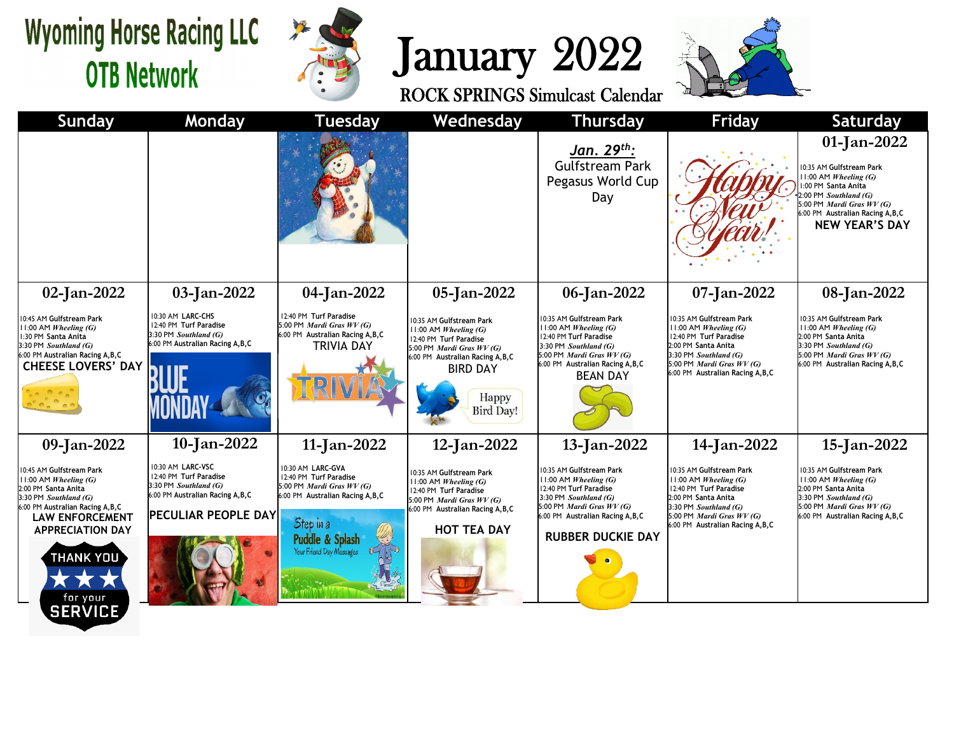## **Wyoming Horse Racing LLC OTB Network**



## January 2022<br>ROCK SPRINGS Simulcast Calendar



| <b>Sunday</b>                                                                                                                                                                                                                                                     | <b>Monday</b>                                                                                                                    | <b>Tuesday</b>                                                                                                                                                                   | Wednesday                                                                                                                                                                                           | <b>Thursday</b>                                                                                                                                                                                             | Friday                                                                                                                                                                                                 | <b>Saturday</b>                                                                                                                                                                                                  |
|-------------------------------------------------------------------------------------------------------------------------------------------------------------------------------------------------------------------------------------------------------------------|----------------------------------------------------------------------------------------------------------------------------------|----------------------------------------------------------------------------------------------------------------------------------------------------------------------------------|-----------------------------------------------------------------------------------------------------------------------------------------------------------------------------------------------------|-------------------------------------------------------------------------------------------------------------------------------------------------------------------------------------------------------------|--------------------------------------------------------------------------------------------------------------------------------------------------------------------------------------------------------|------------------------------------------------------------------------------------------------------------------------------------------------------------------------------------------------------------------|
|                                                                                                                                                                                                                                                                   |                                                                                                                                  |                                                                                                                                                                                  |                                                                                                                                                                                                     | <u>Jan. 29<sup>th</sup>:</u><br><b>Gulfstream Park</b><br>Pegasus World Cup<br>Day                                                                                                                          |                                                                                                                                                                                                        | 01-Jan-2022<br>10:35 AM Gulfstream Park<br>11:00 AM Wheeling (G)<br>:00 PM Santa Anita<br>:00 PM Southland (G)<br>5:00 PM <i>Mardi Gras WV (G)</i><br>6:00 PM Australian Racing A, B, C<br><b>NEW YEAR'S DAY</b> |
| 02-Jan-2022                                                                                                                                                                                                                                                       | 03-Jan-2022                                                                                                                      | 04-Jan-2022                                                                                                                                                                      | 05-Jan-2022                                                                                                                                                                                         | 06-Jan-2022                                                                                                                                                                                                 | 07-Jan-2022                                                                                                                                                                                            | 08-Jan-2022                                                                                                                                                                                                      |
| 10:45 AM Gulfstream Park<br>$11:00$ AM Wheeling (G)<br>1:30 PM Santa Anita<br>3:30 PM Southland (G)<br>6:00 PM Australian Racing A, B, C<br><b>CHEESE LOVERS' DAY</b>                                                                                             | 10:30 AM LARC-CHS<br>12:40 PM Turf Paradise<br>3:30 PM Southland (G)<br>6:00 PM Australian Racing A, B, C                        | 12:40 PM Turf Paradise<br>5:00 PM Mardi Gras WV (G)<br>6:00 PM Australian Racing A, B, C<br>TRIVIA DAY                                                                           | 0:35 AM Gulfstream Park<br>11:00 AM Wheeling (G)<br>12:40 PM Turf Paradise<br>5:00 PM <i>Mardi Gras WV (G)</i><br>6:00 PM Australian Racing A, B, C<br><b>BIRD DAY</b><br>Happy<br><b>Bird Day!</b> | 10:35 AM Gulfstream Park<br>$11:00$ AM Wheeling (G)<br>12:40 PM Turf Paradise<br>3:30 PM Southland (G)<br>5:00 PM Mardi Gras $WV(G)$<br>6:00 PM Australian Racing A, B, C<br><b>BEAN DAY</b>                | 10:35 AM Gulfstream Park<br>$11:00$ AM Wheeling (G)<br>12:40 PM Turf Paradise<br>2:00 PM Santa Anita<br>3:30 PM Southland (G)<br>5:00 PM Mardi Gras WV (G)<br>6:00 PM Australian Racing A, B, C        | 10:35 AM Gulfstream Park<br>$11:00$ AM <i>Wheeling (G)</i><br>2:00 PM Santa Anita<br>3:30 PM Southland (G)<br>5:00 PM <i>Mardi Gras WV (G)</i><br>6:00 PM Australian Racing A, B, C                              |
| 09-Jan-2022                                                                                                                                                                                                                                                       | 10-Jan-2022                                                                                                                      | 11-Jan-2022                                                                                                                                                                      | 12-Jan-2022                                                                                                                                                                                         | 13-Jan-2022                                                                                                                                                                                                 | 14-Jan-2022                                                                                                                                                                                            | 15-Jan-2022                                                                                                                                                                                                      |
| 10:45 AM Gulfstream Park<br>$11:00$ AM Wheeling (G)<br>2:00 PM Santa Anita<br>3:30 PM Southland (G)<br>6:00 PM Australian Racing A, B, C<br><b>LAW ENFORCEMENT</b><br><b>APPRECIATION DAY</b><br><b>THANK YOU</b><br><b>DX</b><br>X<br>for your<br><b>SERVICE</b> | 10:30 AM LARC-VSC<br>12:40 PM Turf Paradise<br>3:30 PM Southland (G)<br>6:00 PM Australian Racing A, B, C<br>PECULIAR PEOPLE DAY | 10:30 AM LARC-GVA<br>12:40 PM Turf Paradise<br>5:00 PM <i>Mardi Gras WV (G)</i><br>6:00 PM Australian Racing A, B, C<br>Step in a<br>Puddle & Splash<br>Your Friend Day Messages | 0:35 AM Gulfstream Park<br>1:00 AM Wheeling (G)<br>12:40 PM Turf Paradise<br>5:00 PM <i>Mardi Gras WV (G)</i><br>6:00 PM Australian Racing A, B, C<br><b>HOT TEA DAY</b>                            | 10:35 AM Gulfstream Park<br>$11:00$ AM Wheeling (G)<br>12:40 PM Turf Paradise<br>3:30 PM Southland (G)<br>5:00 PM <i>Mardi Gras WV (G)</i><br>6:00 PM Australian Racing A, B, C<br><b>RUBBER DUCKIE DAY</b> | 10:35 AM Gulfstream Park<br>$11:00$ AM Wheeling (G)<br>12:40 PM Turf Paradise<br>2:00 PM Santa Anita<br>3:30 PM Southland (G)<br>5:00 PM <i>Mardi Gras WV (G)</i><br>6:00 PM Australian Racing A, B, C | 10:35 AM Gulfstream Park<br>$11:00$ AM Wheeling (G)<br>2:00 PM Santa Anita<br>3:30 PM Southland (G)<br>5:00 PM Mardi Gras WV (G)<br>6:00 PM Australian Racing A, B, C                                            |